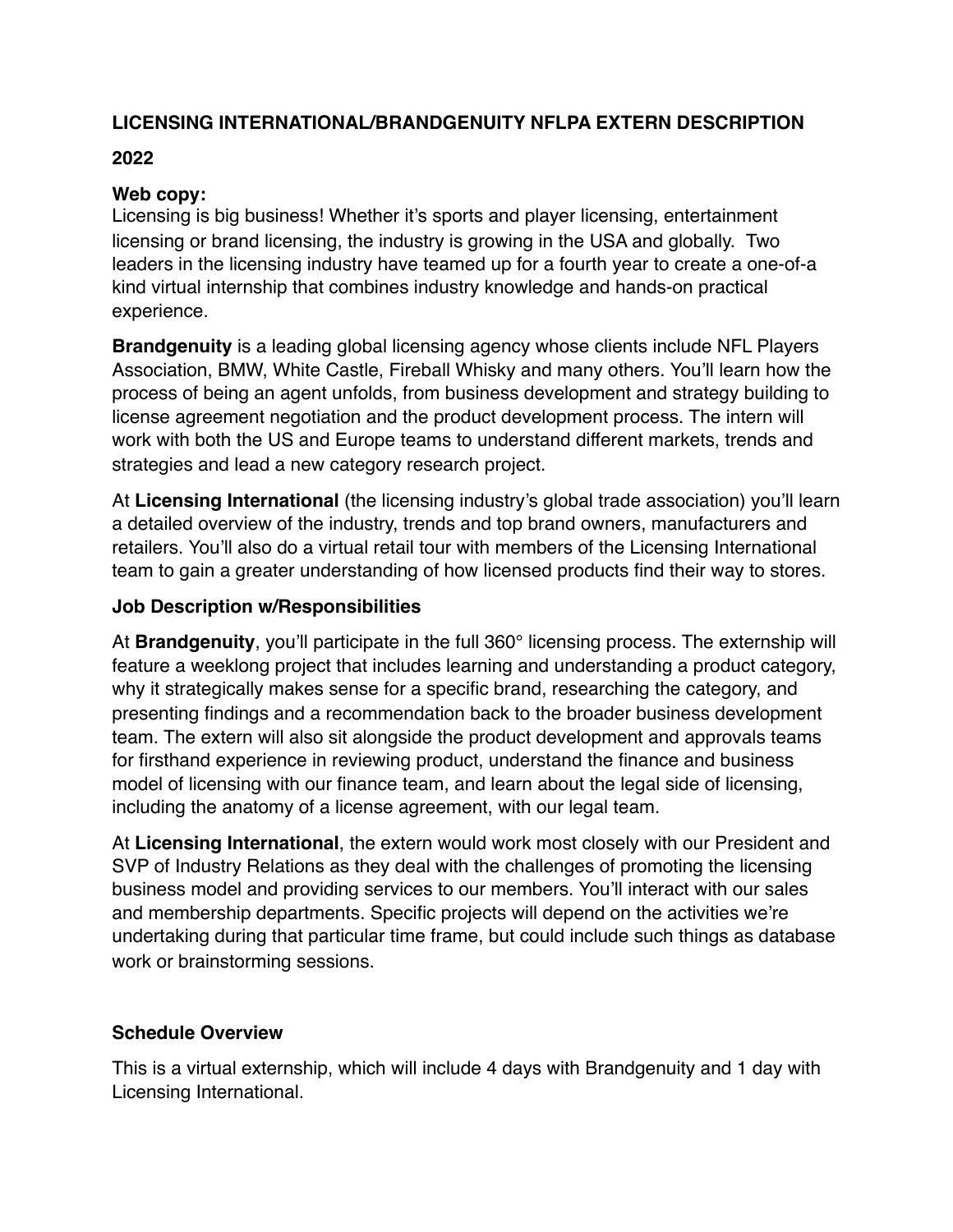# **LICENSING INTERNATIONAL/BRANDGENUITY NFLPA EXTERN DESCRIPTION**

## **2022**

## **Web copy:**

Licensing is big business! Whether it's sports and player licensing, entertainment licensing or brand licensing, the industry is growing in the USA and globally. Two leaders in the licensing industry have teamed up for a fourth year to create a one-of-a kind virtual internship that combines industry knowledge and hands-on practical experience.

**Brandgenuity** is a leading global licensing agency whose clients include NFL Players Association, BMW, White Castle, Fireball Whisky and many others. You'll learn how the process of being an agent unfolds, from business development and strategy building to license agreement negotiation and the product development process. The intern will work with both the US and Europe teams to understand different markets, trends and strategies and lead a new category research project.

At **Licensing International** (the licensing industry's global trade association) you'll learn a detailed overview of the industry, trends and top brand owners, manufacturers and retailers. You'll also do a virtual retail tour with members of the Licensing International team to gain a greater understanding of how licensed products find their way to stores.

### **Job Description w/Responsibilities**

At **Brandgenuity**, you'll participate in the full 360° licensing process. The externship will feature a weeklong project that includes learning and understanding a product category, why it strategically makes sense for a specific brand, researching the category, and presenting findings and a recommendation back to the broader business development team. The extern will also sit alongside the product development and approvals teams for firsthand experience in reviewing product, understand the finance and business model of licensing with our finance team, and learn about the legal side of licensing, including the anatomy of a license agreement, with our legal team.

At **Licensing International**, the extern would work most closely with our President and SVP of Industry Relations as they deal with the challenges of promoting the licensing business model and providing services to our members. You'll interact with our sales and membership departments. Specific projects will depend on the activities we're undertaking during that particular time frame, but could include such things as database work or brainstorming sessions.

## **Schedule Overview**

This is a virtual externship, which will include 4 days with Brandgenuity and 1 day with Licensing International.